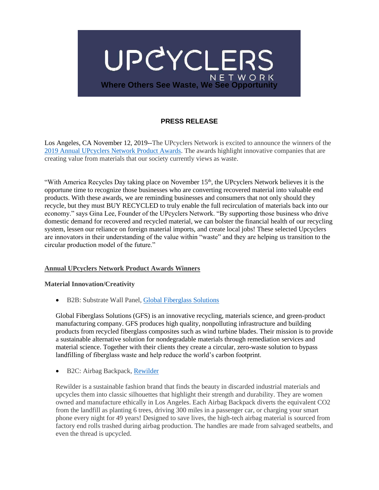

# **PRESS RELEASE**

Los Angeles, CA November 12, 2019--The UPcyclers Network is excited to announce the winners of the [2019 Annual UPcyclers Network Product Awards.](https://www.upcyclersnetwork.org/newsresources/) The awards highlight innovative companies that are creating value from materials that our society currently views as waste.

"With America Recycles Day taking place on November 15<sup>th</sup>, the UPcyclers Network believes it is the opportune time to recognize those businesses who are converting recovered material into valuable end products. With these awards, we are reminding businesses and consumers that not only should they recycle, but they must BUY RECYCLED to truly enable the full recirculation of materials back into our economy." says Gina Lee, Founder of the UPcyclers Network. "By supporting those business who drive domestic demand for recovered and recycled material, we can bolster the financial health of our recycling system, lessen our reliance on foreign material imports, and create local jobs! These selected Upcyclers are innovators in their understanding of the value within "waste" and they are helping us transition to the circular production model of the future."

#### **Annual UPcyclers Network Product Awards Winners**

#### **Material Innovation/Creativity**

• B2B: Substrate Wall Panel[, Global Fiberglass Solutions](https://www.global-fiberglass.com/)

Global Fiberglass Solutions (GFS) is an innovative recycling, materials science, and green‐product manufacturing company. GFS produces high quality, nonpolluting infrastructure and building products from recycled fiberglass composites such as wind turbine blades. Their mission is to provide a sustainable alternative solution for nondegradable materials through remediation services and material science. Together with their clients they create a circular, zero-waste solution to bypass landfilling of fiberglass waste and help reduce the world's carbon footprint.

• B2C: Airbag Backpack, [Rewilder](https://www.rewilder.com/)

Rewilder is a sustainable fashion brand that finds the beauty in discarded industrial materials and upcycles them into classic silhouettes that highlight their strength and durability. They are women owned and manufacture ethically in Los Angeles. Each Airbag Backpack diverts the equivalent CO2 from the landfill as planting 6 trees, driving 300 miles in a passenger car, or charging your smart phone every night for 49 years! Designed to save lives, the high-tech airbag material is sourced from factory end rolls trashed during airbag production. The handles are made from salvaged seatbelts, and even the thread is upcycled.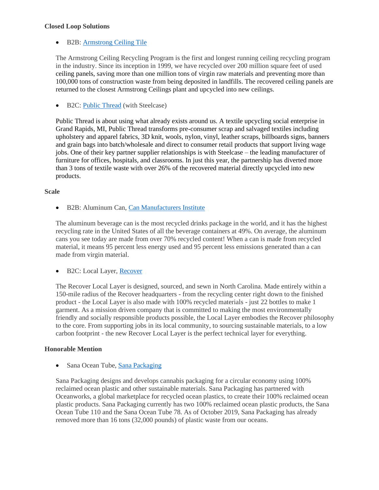### **Closed Loop Solutions**

# • B2B: [Armstrong Ceiling Tile](https://www.armstrongceilings.com/commercial/en-us/performance/sustainable-building-design/ceiling-recycling-program.html)

The Armstrong Ceiling Recycling Program is the first and longest running ceiling recycling program in the industry. Since its inception in 1999, we have recycled over 200 million square feet of used ceiling panels, saving more than one million tons of virgin raw materials and preventing more than 100,000 tons of construction waste from being deposited in landfills. The recovered ceiling panels are returned to the closest Armstrong Ceilings plant and upcycled into new ceilings.

• B2C: [Public Thread](https://www.publicthread.co/) (with Steelcase)

Public Thread is about using what already exists around us. A textile upcycling social enterprise in Grand Rapids, MI, Public Thread transforms pre-consumer scrap and salvaged textiles including upholstery and apparel fabrics, 3D knit, wools, nylon, vinyl, leather scraps, billboards signs, banners and grain bags into batch/wholesale and direct to consumer retail products that support living wage jobs. One of their key partner supplier relationships is with Steelcase – the leading manufacturer of furniture for offices, hospitals, and classrooms. In just this year, the partnership has diverted more than 3 tons of textile waste with over 26% of the recovered material directly upcycled into new products.

### **Scale**

• B2B: Aluminum Can, [Can Manufacturers Institute](http://www.cancentral.com/)

The aluminum beverage can is the most recycled drinks package in the world, and it has the highest recycling rate in the United States of all the beverage containers at 49%. On average, the aluminum cans you see today are made from over 70% recycled content! When a can is made from recycled material, it means 95 percent less energy used and 95 percent less emissions generated than a can made from virgin material.

• B2C: Local Layer, [Recover](https://recoverbrands.com/collections/outerwear/products/local-layer?variant=30247096123415)

The Recover Local Layer is designed, sourced, and sewn in North Carolina. Made entirely within a 150-mile radius of the Recover headquarters - from the recycling center right down to the finished product - the Local Layer is also made with 100% recycled materials - just 22 bottles to make 1 garment. As a mission driven company that is committed to making the most environmentally friendly and socially responsible products possible, the Local Layer embodies the Recover philosophy to the core. From supporting jobs in its local community, to sourcing sustainable materials, to a low carbon footprint - the new Recover Local Layer is the perfect technical layer for everything.

## **Honorable Mention**

• Sana Ocean Tube, [Sana Packaging](https://www.sanapackaging.com/products)

Sana Packaging designs and develops cannabis packaging for a circular economy using 100% reclaimed ocean plastic and other sustainable materials. Sana Packaging has partnered with Oceanworks, a global marketplace for recycled ocean plastics, to create their 100% reclaimed ocean plastic products. Sana Packaging currently has two 100% reclaimed ocean plastic products, the Sana Ocean Tube 110 and the Sana Ocean Tube 78. As of October 2019, Sana Packaging has already removed more than 16 tons (32,000 pounds) of plastic waste from our oceans.